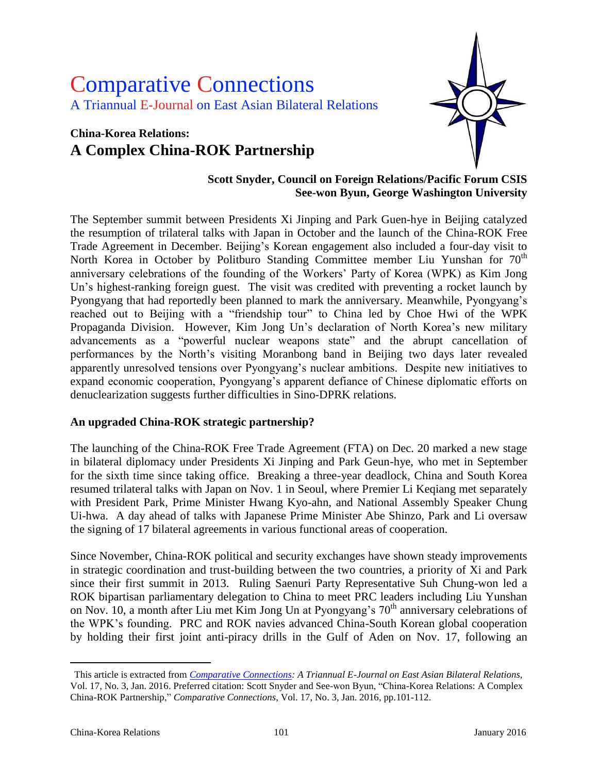# Comparative Connections A Triannual E-Journal on East Asian Bilateral Relations

# **China-Korea Relations: A Complex China-ROK Partnership**



#### **Scott Snyder, Council on Foreign Relations/Pacific Forum CSIS See-won Byun, George Washington University**

The September summit between Presidents Xi Jinping and Park Guen-hye in Beijing catalyzed the resumption of trilateral talks with Japan in October and the launch of the China-ROK Free Trade Agreement in December. Beijing's Korean engagement also included a four-day visit to North Korea in October by Politburo Standing Committee member Liu Yunshan for  $70<sup>th</sup>$ anniversary celebrations of the founding of the Workers' Party of Korea (WPK) as Kim Jong Un's highest-ranking foreign guest. The visit was credited with preventing a rocket launch by Pyongyang that had reportedly been planned to mark the anniversary. Meanwhile, Pyongyang's reached out to Beijing with a "friendship tour" to China led by Choe Hwi of the WPK Propaganda Division. However, Kim Jong Un's declaration of North Korea's new military advancements as a "powerful nuclear weapons state" and the abrupt cancellation of performances by the North's visiting Moranbong band in Beijing two days later revealed apparently unresolved tensions over Pyongyang's nuclear ambitions. Despite new initiatives to expand economic cooperation, Pyongyang's apparent defiance of Chinese diplomatic efforts on denuclearization suggests further difficulties in Sino-DPRK relations.

#### **An upgraded China-ROK strategic partnership?**

The launching of the China-ROK Free Trade Agreement (FTA) on Dec. 20 marked a new stage in bilateral diplomacy under Presidents Xi Jinping and Park Geun-hye, who met in September for the sixth time since taking office. Breaking a three-year deadlock, China and South Korea resumed trilateral talks with Japan on Nov. 1 in Seoul, where Premier Li Keqiang met separately with President Park, Prime Minister Hwang Kyo-ahn, and National Assembly Speaker Chung Ui-hwa. A day ahead of talks with Japanese Prime Minister Abe Shinzo, Park and Li oversaw the signing of 17 bilateral agreements in various functional areas of cooperation.

Since November, China-ROK political and security exchanges have shown steady improvements in strategic coordination and trust-building between the two countries, a priority of Xi and Park since their first summit in 2013. Ruling Saenuri Party Representative Suh Chung-won led a ROK bipartisan parliamentary delegation to China to meet PRC leaders including Liu Yunshan on Nov. 10, a month after Liu met Kim Jong Un at Pyongyang's  $70<sup>th</sup>$  anniversary celebrations of the WPK's founding. PRC and ROK navies advanced China-South Korean global cooperation by holding their first joint anti-piracy drills in the Gulf of Aden on Nov. 17, following an

 $\overline{a}$ 

This article is extracted from *[Comparative Connections:](http://csis.org/program/comparative-connections) A Triannual E-Journal on East Asian Bilateral Relations,*  Vol. 17, No. 3, Jan. 2016. Preferred citation: Scott Snyder and See-won Byun, "China-Korea Relations: A Complex China-ROK Partnership," *Comparative Connections*, Vol. 17, No. 3, Jan. 2016, pp.101-112.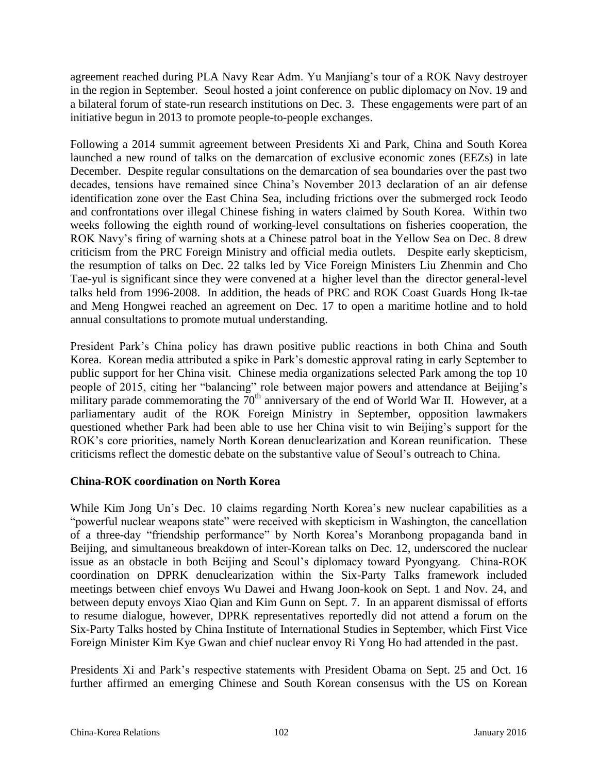agreement reached during PLA Navy Rear Adm. Yu Manjiang's tour of a ROK Navy destroyer in the region in September. Seoul hosted a joint conference on public diplomacy on Nov. 19 and a bilateral forum of state-run research institutions on Dec. 3. These engagements were part of an initiative begun in 2013 to promote people-to-people exchanges.

Following a 2014 summit agreement between Presidents Xi and Park, China and South Korea launched a new round of talks on the demarcation of exclusive economic zones (EEZs) in late December. Despite regular consultations on the demarcation of sea boundaries over the past two decades, tensions have remained since China's November 2013 declaration of an air defense identification zone over the East China Sea, including frictions over the submerged rock Ieodo and confrontations over illegal Chinese fishing in waters claimed by South Korea. Within two weeks following the eighth round of working-level consultations on fisheries cooperation, the ROK Navy's firing of warning shots at a Chinese patrol boat in the Yellow Sea on Dec. 8 drew criticism from the PRC Foreign Ministry and official media outlets. Despite early skepticism, the resumption of talks on Dec. 22 talks led by Vice Foreign Ministers Liu Zhenmin and Cho Tae-yul is significant since they were convened at a higher level than the director general-level talks held from 1996-2008. In addition, the heads of PRC and ROK Coast Guards Hong Ik-tae and Meng Hongwei reached an agreement on Dec. 17 to open a maritime hotline and to hold annual consultations to promote mutual understanding.

President Park's China policy has drawn positive public reactions in both China and South Korea. Korean media attributed a spike in Park's domestic approval rating in early September to public support for her China visit. Chinese media organizations selected Park among the top 10 people of 2015, citing her "balancing" role between major powers and attendance at Beijing's military parade commemorating the  $70<sup>th</sup>$  anniversary of the end of World War II. However, at a parliamentary audit of the ROK Foreign Ministry in September, opposition lawmakers questioned whether Park had been able to use her China visit to win Beijing's support for the ROK's core priorities, namely North Korean denuclearization and Korean reunification. These criticisms reflect the domestic debate on the substantive value of Seoul's outreach to China.

## **China-ROK coordination on North Korea**

While Kim Jong Un's Dec. 10 claims regarding North Korea's new nuclear capabilities as a "powerful nuclear weapons state" were received with skepticism in Washington, the cancellation of a three-day "friendship performance" by North Korea's Moranbong propaganda band in Beijing, and simultaneous breakdown of inter-Korean talks on Dec. 12, underscored the nuclear issue as an obstacle in both Beijing and Seoul's diplomacy toward Pyongyang. China-ROK coordination on DPRK denuclearization within the Six-Party Talks framework included meetings between chief envoys Wu Dawei and Hwang Joon-kook on Sept. 1 and Nov. 24, and between deputy envoys Xiao Qian and Kim Gunn on Sept. 7. In an apparent dismissal of efforts to resume dialogue, however, DPRK representatives reportedly did not attend a forum on the Six-Party Talks hosted by China Institute of International Studies in September, which First Vice Foreign Minister Kim Kye Gwan and chief nuclear envoy Ri Yong Ho had attended in the past.

Presidents Xi and Park's respective statements with President Obama on Sept. 25 and Oct. 16 further affirmed an emerging Chinese and South Korean consensus with the US on Korean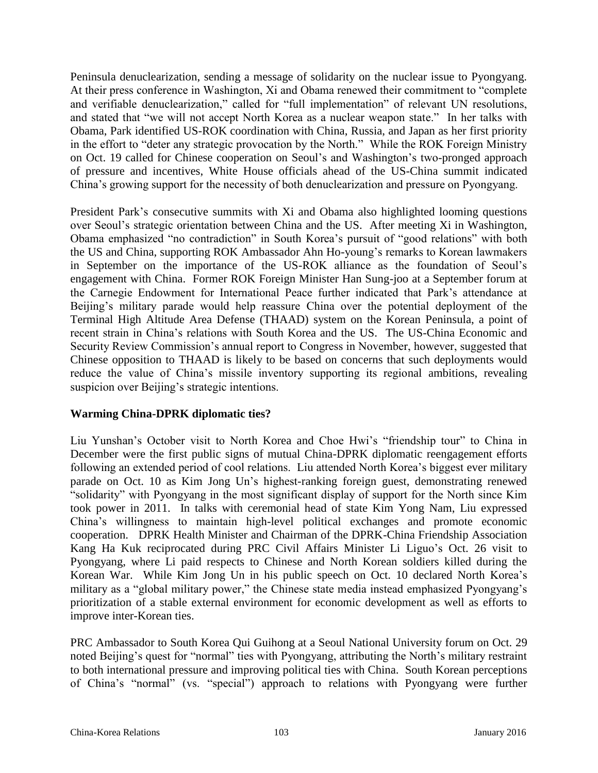Peninsula denuclearization, sending a message of solidarity on the nuclear issue to Pyongyang. At their press conference in Washington, Xi and Obama renewed their commitment to "complete and verifiable denuclearization," called for "full implementation" of relevant UN resolutions, and stated that "we will not accept North Korea as a nuclear weapon state." In her talks with Obama, Park identified US-ROK coordination with China, Russia, and Japan as her first priority in the effort to "deter any strategic provocation by the North." While the ROK Foreign Ministry on Oct. 19 called for Chinese cooperation on Seoul's and Washington's two-pronged approach of pressure and incentives, White House officials ahead of the US-China summit indicated China's growing support for the necessity of both denuclearization and pressure on Pyongyang.

President Park's consecutive summits with Xi and Obama also highlighted looming questions over Seoul's strategic orientation between China and the US. After meeting Xi in Washington, Obama emphasized "no contradiction" in South Korea's pursuit of "good relations" with both the US and China, supporting ROK Ambassador Ahn Ho-young's remarks to Korean lawmakers in September on the importance of the US-ROK alliance as the foundation of Seoul's engagement with China. Former ROK Foreign Minister Han Sung-joo at a September forum at the Carnegie Endowment for International Peace further indicated that Park's attendance at Beijing's military parade would help reassure China over the potential deployment of the Terminal High Altitude Area Defense (THAAD) system on the Korean Peninsula, a point of recent strain in China's relations with South Korea and the US. The US-China Economic and Security Review Commission's annual report to Congress in November, however, suggested that Chinese opposition to THAAD is likely to be based on concerns that such deployments would reduce the value of China's missile inventory supporting its regional ambitions, revealing suspicion over Beijing's strategic intentions.

#### **Warming China-DPRK diplomatic ties?**

Liu Yunshan's October visit to North Korea and Choe Hwi's "friendship tour" to China in December were the first public signs of mutual China-DPRK diplomatic reengagement efforts following an extended period of cool relations. Liu attended North Korea's biggest ever military parade on Oct. 10 as Kim Jong Un's highest-ranking foreign guest, demonstrating renewed "solidarity" with Pyongyang in the most significant display of support for the North since Kim took power in 2011. In talks with ceremonial head of state Kim Yong Nam, Liu expressed China's willingness to maintain high-level political exchanges and promote economic cooperation. DPRK Health Minister and Chairman of the DPRK-China Friendship Association Kang Ha Kuk reciprocated during PRC Civil Affairs Minister Li Liguo's Oct. 26 visit to Pyongyang, where Li paid respects to Chinese and North Korean soldiers killed during the Korean War. While Kim Jong Un in his public speech on Oct. 10 declared North Korea's military as a "global military power," the Chinese state media instead emphasized Pyongyang's prioritization of a stable external environment for economic development as well as efforts to improve inter-Korean ties.

PRC Ambassador to South Korea Qui Guihong at a Seoul National University forum on Oct. 29 noted Beijing's quest for "normal" ties with Pyongyang, attributing the North's military restraint to both international pressure and improving political ties with China. South Korean perceptions of China's "normal" (vs. "special") approach to relations with Pyongyang were further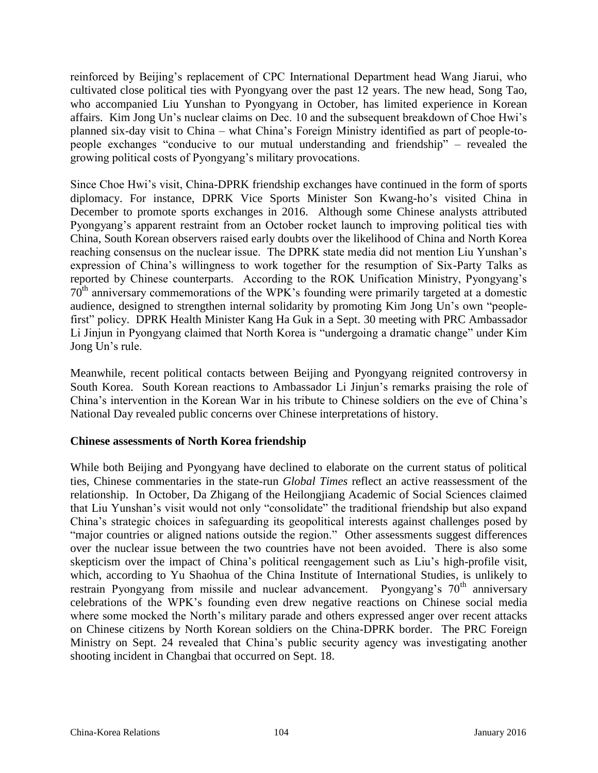reinforced by Beijing's replacement of CPC International Department head Wang Jiarui, who cultivated close political ties with Pyongyang over the past 12 years. The new head, Song Tao, who accompanied Liu Yunshan to Pyongyang in October, has limited experience in Korean affairs. Kim Jong Un's nuclear claims on Dec. 10 and the subsequent breakdown of Choe Hwi's planned six-day visit to China – what China's Foreign Ministry identified as part of people-topeople exchanges "conducive to our mutual understanding and friendship" – revealed the growing political costs of Pyongyang's military provocations.

Since Choe Hwi's visit, China-DPRK friendship exchanges have continued in the form of sports diplomacy. For instance, DPRK Vice Sports Minister Son Kwang-ho's visited China in December to promote sports exchanges in 2016. Although some Chinese analysts attributed Pyongyang's apparent restraint from an October rocket launch to improving political ties with China, South Korean observers raised early doubts over the likelihood of China and North Korea reaching consensus on the nuclear issue. The DPRK state media did not mention Liu Yunshan's expression of China's willingness to work together for the resumption of Six-Party Talks as reported by Chinese counterparts. According to the ROK Unification Ministry, Pyongyang's 70th anniversary commemorations of the WPK's founding were primarily targeted at a domestic audience, designed to strengthen internal solidarity by promoting Kim Jong Un's own "peoplefirst" policy. DPRK Health Minister Kang Ha Guk in a Sept. 30 meeting with PRC Ambassador Li Jinjun in Pyongyang claimed that North Korea is "undergoing a dramatic change" under Kim Jong Un's rule.

Meanwhile, recent political contacts between Beijing and Pyongyang reignited controversy in South Korea. South Korean reactions to Ambassador Li Jinjun's remarks praising the role of China's intervention in the Korean War in his tribute to Chinese soldiers on the eve of China's National Day revealed public concerns over Chinese interpretations of history.

#### **Chinese assessments of North Korea friendship**

While both Beijing and Pyongyang have declined to elaborate on the current status of political ties, Chinese commentaries in the state-run *Global Times* reflect an active reassessment of the relationship. In October, Da Zhigang of the Heilongjiang Academic of Social Sciences claimed that Liu Yunshan's visit would not only "consolidate" the traditional friendship but also expand China's strategic choices in safeguarding its geopolitical interests against challenges posed by "major countries or aligned nations outside the region." Other assessments suggest differences over the nuclear issue between the two countries have not been avoided. There is also some skepticism over the impact of China's political reengagement such as Liu's high-profile visit, which, according to Yu Shaohua of the China Institute of International Studies, is unlikely to restrain Pyongyang from missile and nuclear advancement. Pyongyang's 70<sup>th</sup> anniversary celebrations of the WPK's founding even drew negative reactions on Chinese social media where some mocked the North's military parade and others expressed anger over recent attacks on Chinese citizens by North Korean soldiers on the China-DPRK border. The PRC Foreign Ministry on Sept. 24 revealed that China's public security agency was investigating another shooting incident in Changbai that occurred on Sept. 18.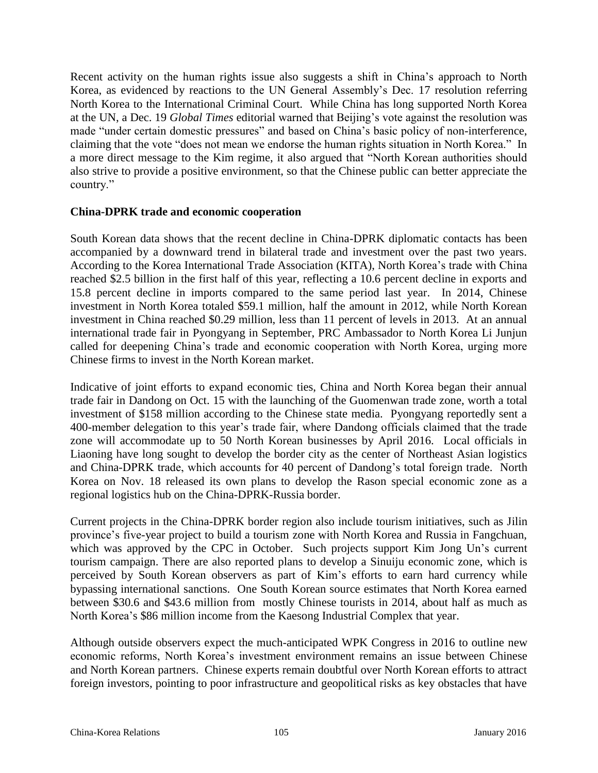Recent activity on the human rights issue also suggests a shift in China's approach to North Korea, as evidenced by reactions to the UN General Assembly's Dec. 17 resolution referring North Korea to the International Criminal Court. While China has long supported North Korea at the UN, a Dec. 19 *Global Times* editorial warned that Beijing's vote against the resolution was made "under certain domestic pressures" and based on China's basic policy of non-interference, claiming that the vote "does not mean we endorse the human rights situation in North Korea." In a more direct message to the Kim regime, it also argued that "North Korean authorities should also strive to provide a positive environment, so that the Chinese public can better appreciate the country."

#### **China-DPRK trade and economic cooperation**

South Korean data shows that the recent decline in China-DPRK diplomatic contacts has been accompanied by a downward trend in bilateral trade and investment over the past two years. According to the Korea International Trade Association (KITA), North Korea's trade with China reached \$2.5 billion in the first half of this year, reflecting a 10.6 percent decline in exports and 15.8 percent decline in imports compared to the same period last year. In 2014, Chinese investment in North Korea totaled \$59.1 million, half the amount in 2012, while North Korean investment in China reached \$0.29 million, less than 11 percent of levels in 2013. At an annual international trade fair in Pyongyang in September, PRC Ambassador to North Korea Li Junjun called for deepening China's trade and economic cooperation with North Korea, urging more Chinese firms to invest in the North Korean market.

Indicative of joint efforts to expand economic ties, China and North Korea began their annual trade fair in Dandong on Oct. 15 with the launching of the Guomenwan trade zone, worth a total investment of \$158 million according to the Chinese state media. Pyongyang reportedly sent a 400-member delegation to this year's trade fair, where Dandong officials claimed that the trade zone will accommodate up to 50 North Korean businesses by April 2016. Local officials in Liaoning have long sought to develop the border city as the center of Northeast Asian logistics and China-DPRK trade, which accounts for 40 percent of Dandong's total foreign trade. North Korea on Nov. 18 released its own plans to develop the Rason special economic zone as a regional logistics hub on the China-DPRK-Russia border.

Current projects in the China-DPRK border region also include tourism initiatives, such as Jilin province's five-year project to build a tourism zone with North Korea and Russia in Fangchuan, which was approved by the CPC in October. Such projects support Kim Jong Un's current tourism campaign. There are also reported plans to develop a Sinuiju economic zone, which is perceived by South Korean observers as part of Kim's efforts to earn hard currency while bypassing international sanctions. One South Korean source estimates that North Korea earned between \$30.6 and \$43.6 million from mostly Chinese tourists in 2014, about half as much as North Korea's \$86 million income from the Kaesong Industrial Complex that year.

Although outside observers expect the much-anticipated WPK Congress in 2016 to outline new economic reforms, North Korea's investment environment remains an issue between Chinese and North Korean partners. Chinese experts remain doubtful over North Korean efforts to attract foreign investors, pointing to poor infrastructure and geopolitical risks as key obstacles that have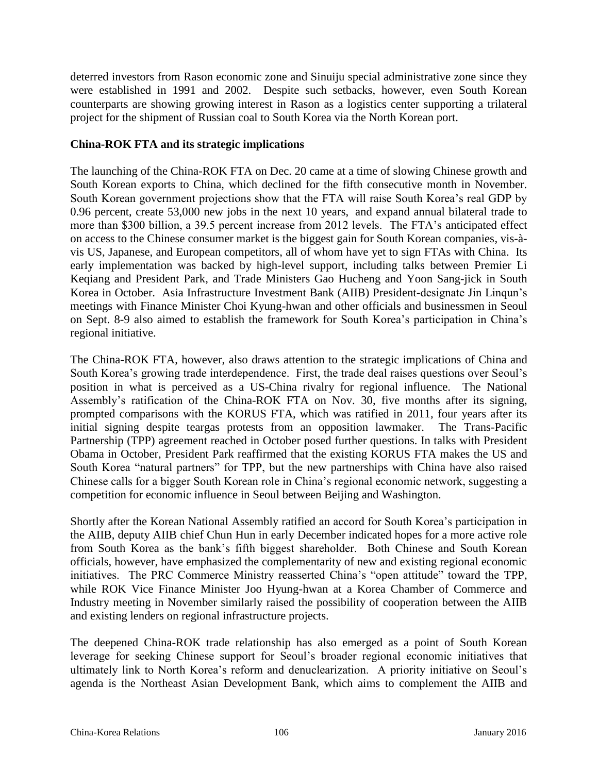deterred investors from Rason economic zone and Sinuiju special administrative zone since they were established in 1991 and 2002. Despite such setbacks, however, even South Korean counterparts are showing growing interest in Rason as a logistics center supporting a trilateral project for the shipment of Russian coal to South Korea via the North Korean port.

#### **China-ROK FTA and its strategic implications**

The launching of the China-ROK FTA on Dec. 20 came at a time of slowing Chinese growth and South Korean exports to China, which declined for the fifth consecutive month in November. South Korean government projections show that the FTA will raise South Korea's real GDP by 0.96 percent, create 53,000 new jobs in the next 10 years, and expand annual bilateral trade to more than \$300 billion, a 39.5 percent increase from 2012 levels. The FTA's anticipated effect on access to the Chinese consumer market is the biggest gain for South Korean companies, vis-àvis US, Japanese, and European competitors, all of whom have yet to sign FTAs with China. Its early implementation was backed by high-level support, including talks between Premier Li Keqiang and President Park, and Trade Ministers Gao Hucheng and Yoon Sang-jick in South Korea in October. Asia Infrastructure Investment Bank (AIIB) President-designate Jin Linqun's meetings with Finance Minister Choi Kyung-hwan and other officials and businessmen in Seoul on Sept. 8-9 also aimed to establish the framework for South Korea's participation in China's regional initiative.

The China-ROK FTA, however, also draws attention to the strategic implications of China and South Korea's growing trade interdependence. First, the trade deal raises questions over Seoul's position in what is perceived as a US-China rivalry for regional influence. The National Assembly's ratification of the China-ROK FTA on Nov. 30, five months after its signing, prompted comparisons with the KORUS FTA, which was ratified in 2011, four years after its initial signing despite teargas protests from an opposition lawmaker. The Trans-Pacific Partnership (TPP) agreement reached in October posed further questions. In talks with President Obama in October, President Park reaffirmed that the existing KORUS FTA makes the US and South Korea "natural partners" for TPP, but the new partnerships with China have also raised Chinese calls for a bigger South Korean role in China's regional economic network, suggesting a competition for economic influence in Seoul between Beijing and Washington.

Shortly after the Korean National Assembly ratified an accord for South Korea's participation in the AIIB, deputy AIIB chief Chun Hun in early December indicated hopes for a more active role from South Korea as the bank's fifth biggest shareholder. Both Chinese and South Korean officials, however, have emphasized the complementarity of new and existing regional economic initiatives. The PRC Commerce Ministry reasserted China's "open attitude" toward the TPP, while ROK Vice Finance Minister Joo Hyung-hwan at a Korea Chamber of Commerce and Industry meeting in November similarly raised the possibility of cooperation between the AIIB and existing lenders on regional infrastructure projects.

The deepened China-ROK trade relationship has also emerged as a point of South Korean leverage for seeking Chinese support for Seoul's broader regional economic initiatives that ultimately link to North Korea's reform and denuclearization. A priority initiative on Seoul's agenda is the Northeast Asian Development Bank, which aims to complement the AIIB and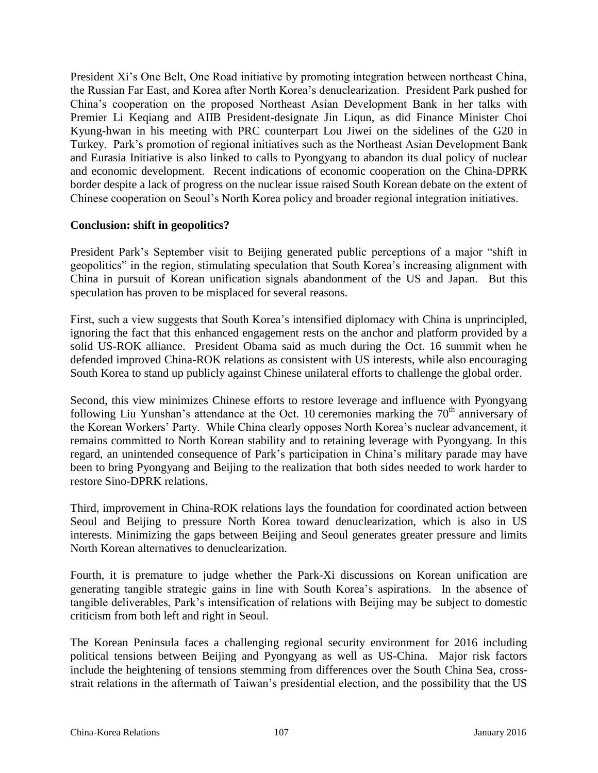President Xi's One Belt, One Road initiative by promoting integration between northeast China, the Russian Far East, and Korea after North Korea's denuclearization. President Park pushed for China's cooperation on the proposed Northeast Asian Development Bank in her talks with Premier Li Keqiang and AIIB President-designate Jin Liqun, as did Finance Minister Choi Kyung-hwan in his meeting with PRC counterpart Lou Jiwei on the sidelines of the G20 in Turkey. Park's promotion of regional initiatives such as the Northeast Asian Development Bank and Eurasia Initiative is also linked to calls to Pyongyang to abandon its dual policy of nuclear and economic development. Recent indications of economic cooperation on the China-DPRK border despite a lack of progress on the nuclear issue raised South Korean debate on the extent of Chinese cooperation on Seoul's North Korea policy and broader regional integration initiatives.

#### **Conclusion: shift in geopolitics?**

President Park's September visit to Beijing generated public perceptions of a major "shift in geopolitics" in the region, stimulating speculation that South Korea's increasing alignment with China in pursuit of Korean unification signals abandonment of the US and Japan. But this speculation has proven to be misplaced for several reasons.

First, such a view suggests that South Korea's intensified diplomacy with China is unprincipled, ignoring the fact that this enhanced engagement rests on the anchor and platform provided by a solid US-ROK alliance. President Obama said as much during the Oct. 16 summit when he defended improved China-ROK relations as consistent with US interests, while also encouraging South Korea to stand up publicly against Chinese unilateral efforts to challenge the global order.

Second, this view minimizes Chinese efforts to restore leverage and influence with Pyongyang following Liu Yunshan's attendance at the Oct. 10 ceremonies marking the  $70<sup>th</sup>$  anniversary of the Korean Workers' Party. While China clearly opposes North Korea's nuclear advancement, it remains committed to North Korean stability and to retaining leverage with Pyongyang. In this regard, an unintended consequence of Park's participation in China's military parade may have been to bring Pyongyang and Beijing to the realization that both sides needed to work harder to restore Sino-DPRK relations.

Third, improvement in China-ROK relations lays the foundation for coordinated action between Seoul and Beijing to pressure North Korea toward denuclearization, which is also in US interests. Minimizing the gaps between Beijing and Seoul generates greater pressure and limits North Korean alternatives to denuclearization.

Fourth, it is premature to judge whether the Park-Xi discussions on Korean unification are generating tangible strategic gains in line with South Korea's aspirations. In the absence of tangible deliverables, Park's intensification of relations with Beijing may be subject to domestic criticism from both left and right in Seoul.

The Korean Peninsula faces a challenging regional security environment for 2016 including political tensions between Beijing and Pyongyang as well as US-China. Major risk factors include the heightening of tensions stemming from differences over the South China Sea, crossstrait relations in the aftermath of Taiwan's presidential election, and the possibility that the US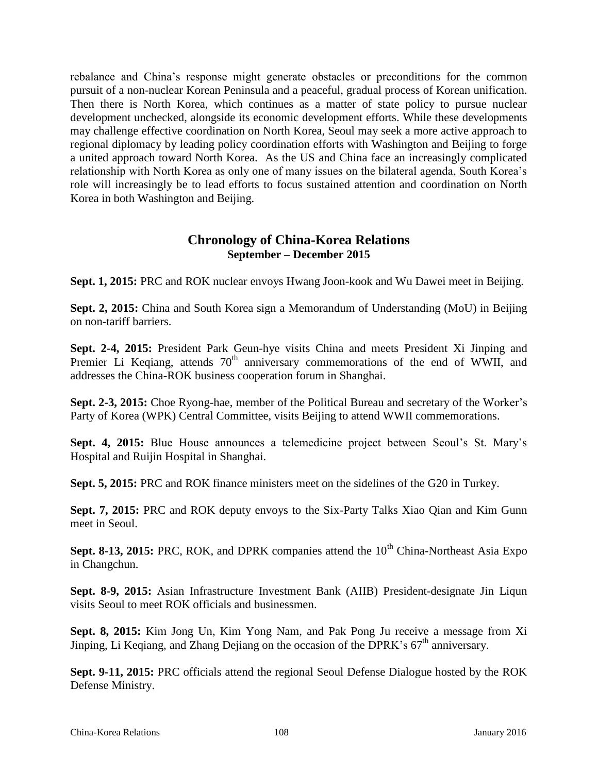rebalance and China's response might generate obstacles or preconditions for the common pursuit of a non-nuclear Korean Peninsula and a peaceful, gradual process of Korean unification. Then there is North Korea, which continues as a matter of state policy to pursue nuclear development unchecked, alongside its economic development efforts. While these developments may challenge effective coordination on North Korea, Seoul may seek a more active approach to regional diplomacy by leading policy coordination efforts with Washington and Beijing to forge a united approach toward North Korea. As the US and China face an increasingly complicated relationship with North Korea as only one of many issues on the bilateral agenda, South Korea's role will increasingly be to lead efforts to focus sustained attention and coordination on North Korea in both Washington and Beijing.

### **Chronology of China-Korea Relations September – December 2015**

**Sept. 1, 2015:** PRC and ROK nuclear envoys Hwang Joon-kook and Wu Dawei meet in Beijing.

**Sept. 2, 2015:** China and South Korea sign a Memorandum of Understanding (MoU) in Beijing on non-tariff barriers.

**Sept. 2-4, 2015:** President Park Geun-hye visits China and meets President Xi Jinping and Premier Li Keqiang, attends  $70<sup>th</sup>$  anniversary commemorations of the end of WWII, and addresses the China-ROK business cooperation forum in Shanghai.

**Sept. 2-3, 2015:** Choe Ryong-hae, member of the Political Bureau and secretary of the Worker's Party of Korea (WPK) Central Committee, visits Beijing to attend WWII commemorations.

**Sept. 4, 2015:** Blue House announces a telemedicine project between Seoul's St. Mary's Hospital and Ruijin Hospital in Shanghai.

**Sept. 5, 2015:** PRC and ROK finance ministers meet on the sidelines of the G20 in Turkey.

**Sept. 7, 2015:** PRC and ROK deputy envoys to the Six-Party Talks Xiao Qian and Kim Gunn meet in Seoul.

**Sept. 8-13, 2015:** PRC, ROK, and DPRK companies attend the 10<sup>th</sup> China-Northeast Asia Expo in Changchun.

**Sept. 8-9, 2015:** Asian Infrastructure Investment Bank (AIIB) President-designate Jin Liqun visits Seoul to meet ROK officials and businessmen.

**Sept. 8, 2015:** Kim Jong Un, Kim Yong Nam, and Pak Pong Ju receive a message from Xi Jinping, Li Keqiang, and Zhang Dejiang on the occasion of the DPRK's  $67<sup>th</sup>$  anniversary.

**Sept. 9-11, 2015:** PRC officials attend the regional Seoul Defense Dialogue hosted by the ROK Defense Ministry.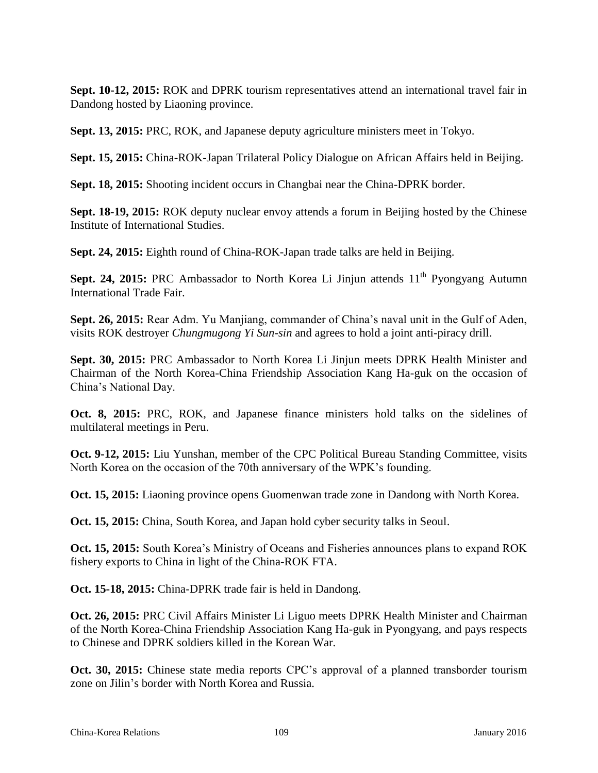**Sept. 10-12, 2015:** ROK and DPRK tourism representatives attend an international travel fair in Dandong hosted by Liaoning province.

**Sept. 13, 2015:** PRC, ROK, and Japanese deputy agriculture ministers meet in Tokyo.

**Sept. 15, 2015:** China-ROK-Japan Trilateral Policy Dialogue on African Affairs held in Beijing.

**Sept. 18, 2015:** Shooting incident occurs in Changbai near the China-DPRK border.

**Sept. 18-19, 2015:** ROK deputy nuclear envoy attends a forum in Beijing hosted by the Chinese Institute of International Studies.

**Sept. 24, 2015:** Eighth round of China-ROK-Japan trade talks are held in Beijing.

**Sept. 24, 2015:** PRC Ambassador to North Korea Li Jinjun attends 11<sup>th</sup> Pyongyang Autumn International Trade Fair.

**Sept. 26, 2015:** Rear Adm. Yu Manjiang, commander of China's naval unit in the Gulf of Aden, visits ROK destroyer *Chungmugong Yi Sun-sin* and agrees to hold a joint anti-piracy drill.

**Sept. 30, 2015:** PRC Ambassador to North Korea Li Jinjun meets DPRK Health Minister and Chairman of the North Korea-China Friendship Association Kang Ha-guk on the occasion of China's National Day.

**Oct. 8, 2015:** PRC, ROK, and Japanese finance ministers hold talks on the sidelines of multilateral meetings in Peru.

**Oct. 9-12, 2015:** Liu Yunshan, member of the CPC Political Bureau Standing Committee, visits North Korea on the occasion of the 70th anniversary of the WPK's founding.

**Oct. 15, 2015:** Liaoning province opens Guomenwan trade zone in Dandong with North Korea.

**Oct. 15, 2015:** China, South Korea, and Japan hold cyber security talks in Seoul.

**Oct. 15, 2015:** South Korea's Ministry of Oceans and Fisheries announces plans to expand ROK fishery exports to China in light of the China-ROK FTA.

**Oct. 15-18, 2015:** China-DPRK trade fair is held in Dandong.

**Oct. 26, 2015:** PRC Civil Affairs Minister Li Liguo meets DPRK Health Minister and Chairman of the North Korea-China Friendship Association Kang Ha-guk in Pyongyang, and pays respects to Chinese and DPRK soldiers killed in the Korean War.

**Oct. 30, 2015:** Chinese state media reports CPC's approval of a planned transborder tourism zone on Jilin's border with North Korea and Russia.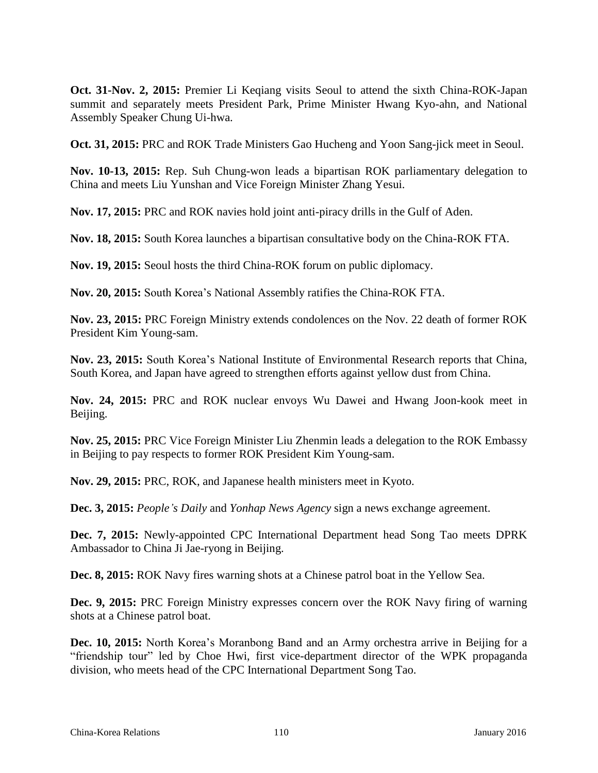**Oct. 31-Nov. 2, 2015:** Premier Li Keqiang visits Seoul to attend the sixth China-ROK-Japan summit and separately meets President Park, Prime Minister Hwang Kyo-ahn, and National Assembly Speaker Chung Ui-hwa.

**Oct. 31, 2015:** PRC and ROK Trade Ministers Gao Hucheng and Yoon Sang-jick meet in Seoul.

**Nov. 10-13, 2015:** Rep. Suh Chung-won leads a bipartisan ROK parliamentary delegation to China and meets Liu Yunshan and Vice Foreign Minister Zhang Yesui.

**Nov. 17, 2015:** PRC and ROK navies hold joint anti-piracy drills in the Gulf of Aden.

**Nov. 18, 2015:** South Korea launches a bipartisan consultative body on the China-ROK FTA.

**Nov. 19, 2015:** Seoul hosts the third China-ROK forum on public diplomacy.

**Nov. 20, 2015:** South Korea's National Assembly ratifies the China-ROK FTA.

**Nov. 23, 2015:** PRC Foreign Ministry extends condolences on the Nov. 22 death of former ROK President Kim Young-sam.

**Nov. 23, 2015:** South Korea's National Institute of Environmental Research reports that China, South Korea, and Japan have agreed to strengthen efforts against yellow dust from China.

**Nov. 24, 2015:** PRC and ROK nuclear envoys Wu Dawei and Hwang Joon-kook meet in Beijing.

**Nov. 25, 2015:** PRC Vice Foreign Minister Liu Zhenmin leads a delegation to the ROK Embassy in Beijing to pay respects to former ROK President Kim Young-sam.

**Nov. 29, 2015:** PRC, ROK, and Japanese health ministers meet in Kyoto.

**Dec. 3, 2015:** *People's Daily* and *Yonhap News Agency* sign a news exchange agreement.

**Dec. 7, 2015:** Newly-appointed CPC International Department head Song Tao meets DPRK Ambassador to China Ji Jae-ryong in Beijing.

**Dec. 8, 2015:** ROK Navy fires warning shots at a Chinese patrol boat in the Yellow Sea.

**Dec. 9, 2015:** PRC Foreign Ministry expresses concern over the ROK Navy firing of warning shots at a Chinese patrol boat.

**Dec. 10, 2015:** North Korea's Moranbong Band and an Army orchestra arrive in Beijing for a "friendship tour" led by Choe Hwi, first vice-department director of the WPK propaganda division, who meets head of the CPC International Department Song Tao.